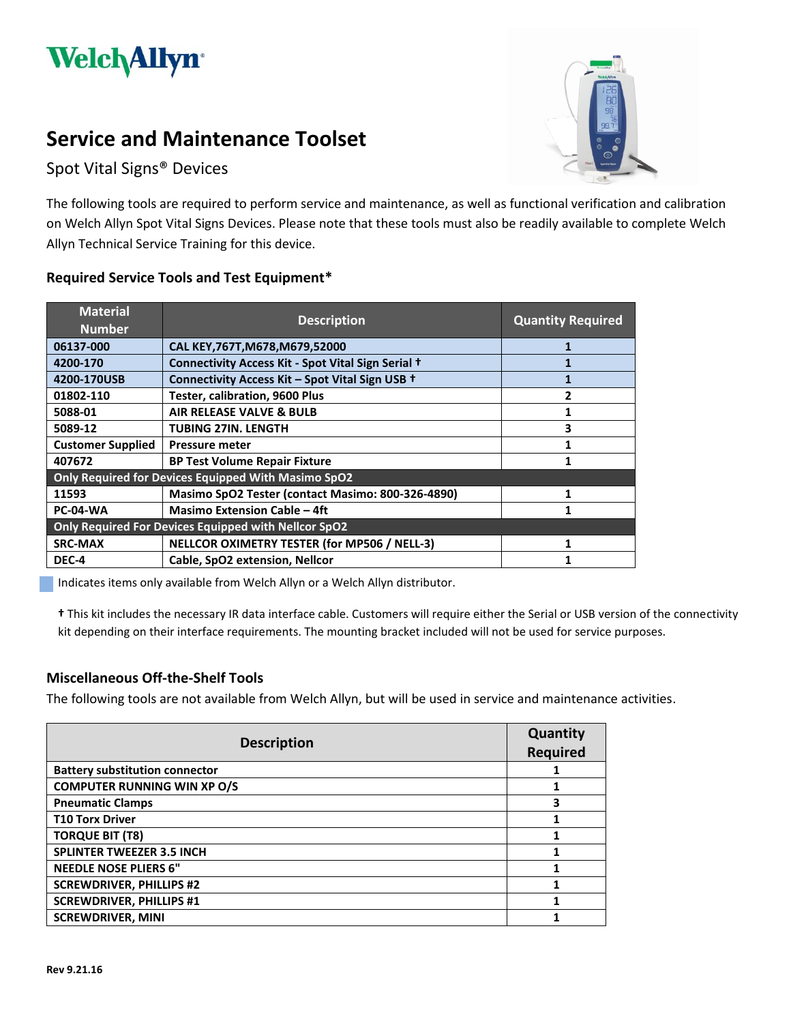

# **Service and Maintenance Toolset**

Spot Vital Signs® Devices



The following tools are required to perform service and maintenance, as well as functional verification and calibration on Welch Allyn Spot Vital Signs Devices. Please note that these tools must also be readily available to complete Welch Allyn Technical Service Training for this device.

## **Required Service Tools and Test Equipment\***

| <b>Material</b><br><b>Number</b>                    | <b>Description</b>                                   | <b>Quantity Required</b> |  |
|-----------------------------------------------------|------------------------------------------------------|--------------------------|--|
| 06137-000                                           | CAL KEY, 767T, M678, M679, 52000                     |                          |  |
| 4200-170                                            | Connectivity Access Kit - Spot Vital Sign Serial +   |                          |  |
| 4200-170USB                                         | Connectivity Access Kit - Spot Vital Sign USB +      |                          |  |
| 01802-110                                           | Tester, calibration, 9600 Plus                       |                          |  |
| 5088-01                                             | AIR RELEASE VALVE & BULB                             |                          |  |
| 5089-12                                             | <b>TUBING 27IN. LENGTH</b>                           | 3                        |  |
| <b>Customer Supplied</b>                            | <b>Pressure meter</b>                                |                          |  |
| 407672                                              | <b>BP Test Volume Repair Fixture</b>                 |                          |  |
| Only Required for Devices Equipped With Masimo SpO2 |                                                      |                          |  |
| 11593                                               | Masimo SpO2 Tester (contact Masimo: 800-326-4890)    |                          |  |
| <b>PC-04-WA</b>                                     | <b>Masimo Extension Cable - 4ft</b>                  |                          |  |
|                                                     | Only Required For Devices Equipped with Nellcor SpO2 |                          |  |
| <b>SRC-MAX</b>                                      | NELLCOR OXIMETRY TESTER (for MP506 / NELL-3)         |                          |  |
| DEC-4                                               | Cable, SpO2 extension, Nellcor                       |                          |  |

Indicates items only available from Welch Allyn or a Welch Allyn distributor.

**†** This kit includes the necessary IR data interface cable. Customers will require either the Serial or USB version of the connectivity kit depending on their interface requirements. The mounting bracket included will not be used for service purposes.

#### **Miscellaneous Off-the-Shelf Tools**

The following tools are not available from Welch Allyn, but will be used in service and maintenance activities.

| <b>Description</b>                    | Quantity<br><b>Required</b> |
|---------------------------------------|-----------------------------|
| <b>Battery substitution connector</b> |                             |
| <b>COMPUTER RUNNING WIN XP O/S</b>    |                             |
| <b>Pneumatic Clamps</b>               | 3                           |
| <b>T10 Torx Driver</b>                |                             |
| <b>TORQUE BIT (T8)</b>                |                             |
| <b>SPLINTER TWEEZER 3.5 INCH</b>      |                             |
| <b>NEEDLE NOSE PLIERS 6"</b>          |                             |
| <b>SCREWDRIVER, PHILLIPS #2</b>       |                             |
| <b>SCREWDRIVER, PHILLIPS #1</b>       |                             |
| <b>SCREWDRIVER, MINI</b>              |                             |